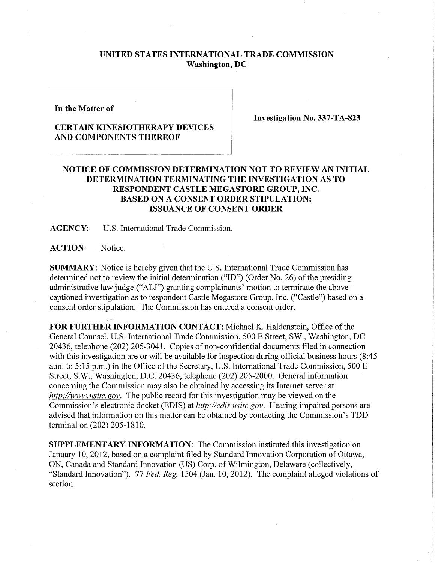## **UNITED STATES INTERNATIONAL TRADE COMMISSION Washington, DC**

**In the Matter of** 

## **CERTAIN KINESIOTHERAPY DEVICES AND COMPONENTS THEREOF**

**Investigation No. 337-TA-823** 

## **NOTICE OF COMMISSION DETERMINATION NOT TO REVIEW AN INITIAL DETERMINATION TERMINATING THE INVESTIGATION AS TO RESPONDENT CASTLE MEGASTORE GROUP, INC. BASED ON A CONSENT ORDER STIPULATION; ISSUANCE OF CONSENT ORDER**

**AGENCY:** U.S. International Trade Commission.

ACTION: Notice.

**SUMMARY:** Notice is hereby given that the U.S. International Trade Commission has determined not to review the initial determination ("ID") (Order No. 26) of the presiding administrative law judge ("ALJ") granting complainants' motion to terminate the abovecaptioned investigation as to respondent Castle Megastore Group, Inc. ("Castle") based on a consent order stipulation. The Commission has entered a consent order.

FOR FURTHER INFORMATION CONTACT: Michael K. Haldenstein, Office of the General Counsel, U.S. International Trade Commission, 500 E Street, SW., Washington, DC 20436, telephone (202) 205-3041. Copies of non-confidential documents filed in connection with this investigation are or will be available for inspection during official business hours (8:45) a.m. to 5:15 p.m.) in the Office of the Secretary, U.S. International Trade Commission, 500 E Street, S.W., Washington, D.C. 20436, telephone (202) 205-2000. General infonnation concerning the Commission may also be obtained by accessing its Internet server at *http://www. usitc. gov.* The public record for this investigation may be viewed on the Commission's electronic docket (EDIS) at *http://edis, usitc.gov.* Hearing-impaired persons are advised that information on this matter can be obtained by contacting the Commission's TDD terminal on (202) 205-1810.

**SUPPLEMENTARY INFORMATION:** The Commission instituted this investigation on January 10, 2012, based on a complaint filed by Standard Innovation Corporation of Ottawa, ON, Canada and Standard Innovation (US) Corp. of Wilmington, Delaware (collectively, "Standard Innovation"). 77 *Fed. Reg.* 1504 (Jan. 10, 2012). The complaint alleged violations of section